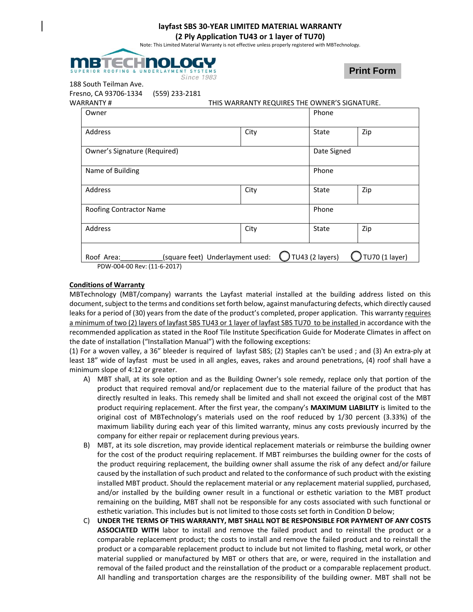## **layfast SBS 30‐YEAR LIMITED MATERIAL WARRANTY**

#### **(2 Ply Application TU43 or 1 layer of TU70)**

Note: This Limited Material Warranty is not effective unless properly registered with MBTechnology.



**Print Form**

188 South Teilman Ave.

Fresno, CA 93706-1334 (559) 233-2181<br>WARRANTY #

THIS WARRANTY BEQUIRES THE OWNER'S SIGNATURE

| INNAIVII #                   | <b>IND WANNAINT NEQUINES THE OWNER S SIGNATURE.</b> |                 |                       |  |
|------------------------------|-----------------------------------------------------|-----------------|-----------------------|--|
| Owner                        |                                                     |                 | Phone                 |  |
| Address                      | City                                                | State           | Zip                   |  |
| Owner's Signature (Required) |                                                     |                 | Date Signed           |  |
| Name of Building             |                                                     | Phone           |                       |  |
| Address                      | City                                                | State           | Zip                   |  |
| Roofing Contractor Name      |                                                     | Phone           |                       |  |
| Address                      | City                                                | State           | Zip                   |  |
| Roof Area:                   | (square feet) Underlayment used:                    | TU43 (2 layers) | <b>TU70 (1 layer)</b> |  |
| PDW-004-00 Rev: (11-6-2017)  |                                                     |                 |                       |  |

### **Conditions of Warranty**

MBTechnology (MBT/company) warrants the Layfast material installed at the building address listed on this document, subject to the terms and conditions set forth below, against manufacturing defects, which directly caused leaks for a period of (30) years from the date of the product's completed, proper application. This warranty requires a minimum of two (2) layers of layfast SBS TU43 or 1 layer of layfast SBS TU70 to be installed in accordance with the recommended application as stated in the Roof Tile Institute Specification Guide for Moderate Climates in affect on the date of installation ("Installation Manual") with the following exceptions:

(1) For a woven valley, a 36" bleeder is required of layfast SBS; (2) Staples can't be used ; and (3) An extra‐ply at least 18" wide of layfast must be used in all angles, eaves, rakes and around penetrations, (4) roof shall have a minimum slope of 4:12 or greater.

- A) MBT shall, at its sole option and as the Building Owner's sole remedy, replace only that portion of the product that required removal and/or replacement due to the material failure of the product that has directly resulted in leaks. This remedy shall be limited and shall not exceed the original cost of the MBT product requiring replacement. After the first year, the company's **MAXIMUM LIABILITY** is limited to the original cost of MBTechnology's materials used on the roof reduced by 1/30 percent (3.33%) of the maximum liability during each year of this limited warranty, minus any costs previously incurred by the company for either repair or replacement during previous years.
- B) MBT, at its sole discretion, may provide identical replacement materials or reimburse the building owner for the cost of the product requiring replacement. If MBT reimburses the building owner for the costs of the product requiring replacement, the building owner shall assume the risk of any defect and/or failure caused by the installation of such product and related to the conformance of such product with the existing installed MBT product. Should the replacement material or any replacement material supplied, purchased, and/or installed by the building owner result in a functional or esthetic variation to the MBT product remaining on the building, MBT shall not be responsible for any costs associated with such functional or esthetic variation. This includes but is not limited to those costs set forth in Condition D below;
- C) **UNDER THE TERMS OF THIS WARRANTY, MBT SHALL NOT BE RESPONSIBLE FOR PAYMENT OF ANY COSTS ASSOCIATED WITH** labor to install and remove the failed product and to reinstall the product or a comparable replacement product; the costs to install and remove the failed product and to reinstall the product or a comparable replacement product to include but not limited to flashing, metal work, or other material supplied or manufactured by MBT or others that are, or were, required in the installation and removal of the failed product and the reinstallation of the product or a comparable replacement product. All handling and transportation charges are the responsibility of the building owner. MBT shall not be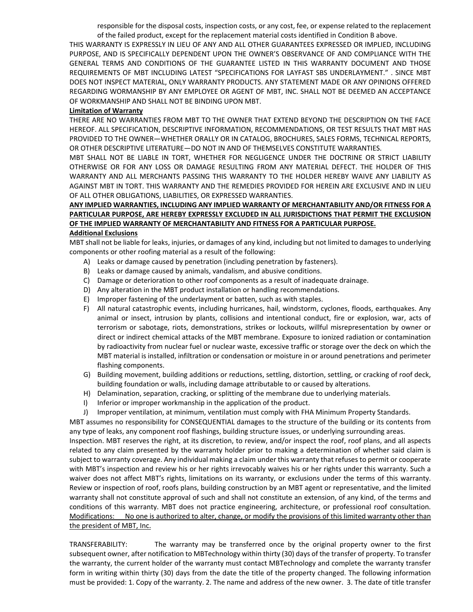responsible for the disposal costs, inspection costs, or any cost, fee, or expense related to the replacement of the failed product, except for the replacement material costs identified in Condition B above.

THIS WARRANTY IS EXPRESSLY IN LIEU OF ANY AND ALL OTHER GUARANTEES EXPRESSED OR IMPLIED, INCLUDING PURPOSE, AND IS SPECIFICALLY DEPENDENT UPON THE OWNER'S OBSERVANCE OF AND COMPLIANCE WITH THE GENERAL TERMS AND CONDITIONS OF THE GUARANTEE LISTED IN THIS WARRANTY DOCUMENT AND THOSE REQUIREMENTS OF MBT INCLUDING LATEST "SPECIFICATIONS FOR LAYFAST SBS UNDERLAYMENT." . SINCE MBT DOES NOT INSPECT MATERIAL, ONLY WARRANTY PRODUCTS. ANY STATEMENT MADE OR ANY OPINIONS OFFERED REGARDING WORMANSHIP BY ANY EMPLOYEE OR AGENT OF MBT, INC. SHALL NOT BE DEEMED AN ACCEPTANCE OF WORKMANSHIP AND SHALL NOT BE BINDING UPON MBT.

## **Limitation of Warranty**

THERE ARE NO WARRANTIES FROM MBT TO THE OWNER THAT EXTEND BEYOND THE DESCRIPTION ON THE FACE HEREOF. ALL SPECIFICATION, DESCRIPTIVE INFORMATION, RECOMMENDATIONS, OR TEST RESULTS THAT MBT HAS PROVIDED TO THE OWNER—WHETHER ORALLY OR IN CATALOG, BROCHURES, SALES FORMS, TECHNICAL REPORTS, OR OTHER DESCRIPTIVE LITERATURE—DO NOT IN AND OF THEMSELVES CONSTITUTE WARRANTIES.

MBT SHALL NOT BE LIABLE IN TORT, WHETHER FOR NEGLIGENCE UNDER THE DOCTRINE OR STRICT LIABILITY OTHERWISE OR FOR ANY LOSS OR DAMAGE RESULTING FROM ANY MATERIAL DEFECT. THE HOLDER OF THIS WARRANTY AND ALL MERCHANTS PASSING THIS WARRANTY TO THE HOLDER HEREBY WAIVE ANY LIABILITY AS AGAINST MBT IN TORT. THIS WARRANTY AND THE REMEDIES PROVIDED FOR HEREIN ARE EXCLUSIVE AND IN LIEU OF ALL OTHER OBLIGATIONS, LIABILITIES, OR EXPRESSED WARRANTIES.

# **ANY IMPLIED WARRANTIES, INCLUDING ANY IMPLIED WARRANTY OF MERCHANTABILITY AND/OR FITNESS FOR A PARTICULAR PURPOSE, ARE HEREBY EXPRESSLY EXCLUDED IN ALL JURISDICTIONS THAT PERMIT THE EXCLUSION OF THE IMPLIED WARRANTY OF MERCHANTABILITY AND FITNESS FOR A PARTICULAR PURPOSE.**

### **Additional Exclusions**

MBT shall not be liable for leaks, injuries, or damages of any kind, including but not limited to damages to underlying components or other roofing material as a result of the following:

- A) Leaks or damage caused by penetration (including penetration by fasteners).
- B) Leaks or damage caused by animals, vandalism, and abusive conditions.
- C) Damage or deterioration to other roof components as a result of inadequate drainage.
- D) Any alteration in the MBT product installation or handling recommendations.
- E) Improper fastening of the underlayment or batten, such as with staples.
- F) All natural catastrophic events, including hurricanes, hail, windstorm, cyclones, floods, earthquakes. Any animal or insect, intrusion by plants, collisions and intentional conduct, fire or explosion, war, acts of terrorism or sabotage, riots, demonstrations, strikes or lockouts, willful misrepresentation by owner or direct or indirect chemical attacks of the MBT membrane. Exposure to ionized radiation or contamination by radioactivity from nuclear fuel or nuclear waste, excessive traffic or storage over the deck on which the MBT material is installed, infiltration or condensation or moisture in or around penetrations and perimeter flashing components.
- G) Building movement, building additions or reductions, settling, distortion, settling, or cracking of roof deck, building foundation or walls, including damage attributable to or caused by alterations.
- H) Delamination, separation, cracking, or splitting of the membrane due to underlying materials.
- I) Inferior or improper workmanship in the application of the product.
- J) Improper ventilation, at minimum, ventilation must comply with FHA Minimum Property Standards.

MBT assumes no responsibility for CONSEQUENTIAL damages to the structure of the building or its contents from any type of leaks, any component roof flashings, building structure issues, or underlying surrounding areas.

Inspection. MBT reserves the right, at its discretion, to review, and/or inspect the roof, roof plans, and all aspects related to any claim presented by the warranty holder prior to making a determination of whether said claim is subject to warranty coverage. Any individual making a claim under this warranty that refuses to permit or cooperate with MBT's inspection and review his or her rights irrevocably waives his or her rights under this warranty. Such a waiver does not affect MBT's rights, limitations on its warranty, or exclusions under the terms of this warranty. Review or inspection of roof, roofs plans, building construction by an MBT agent or representative, and the limited warranty shall not constitute approval of such and shall not constitute an extension, of any kind, of the terms and conditions of this warranty. MBT does not practice engineering, architecture, or professional roof consultation. Modifications: No one is authorized to alter, change, or modify the provisions of this limited warranty other than the president of MBT, Inc.

TRANSFERABILITY: The warranty may be transferred once by the original property owner to the first subsequent owner, after notification to MBTechnology within thirty (30) days of the transfer of property. To transfer the warranty, the current holder of the warranty must contact MBTechnology and complete the warranty transfer form in writing within thirty (30) days from the date the title of the property changed. The following information must be provided: 1. Copy of the warranty. 2. The name and address of the new owner. 3. The date of title transfer